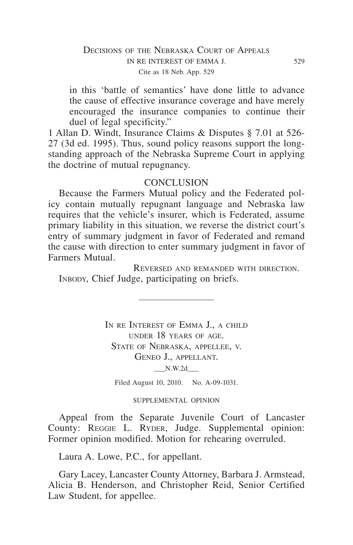## DECISIONS OF THE NEBRASKA COURT OF APPEALS in re interest of emma j. 529 Cite as 18 Neb. App. 529

in this 'battle of semantics' have done little to advance the cause of effective insurance coverage and have merely encouraged the insurance companies to continue their duel of legal specificity."

1 Allan D. Windt, Insurance Claims & Disputes § 7.01 at 526- 27 (3d ed. 1995). Thus, sound policy reasons support the longstanding approach of the Nebraska Supreme Court in applying the doctrine of mutual repugnancy.

### **CONCLUSION**

Because the Farmers Mutual policy and the Federated policy contain mutually repugnant language and Nebraska law requires that the vehicle's insurer, which is Federated, assume primary liability in this situation, we reverse the district court's entry of summary judgment in favor of Federated and remand the cause with direction to enter summary judgment in favor of Farmers Mutual.

Reversed and remanded with direction. INBODY, Chief Judge, participating on briefs.

> IN RE INTEREST OF EMMA J., A CHILD under 18 years of age. STATE OF NEBRASKA, APPELLEE, V. Geneo J., appellant.  $N.W.2d$

Filed August 10, 2010. No. A-09-1031.

#### SUPPLEMENTAL OPINION

Appeal from the Separate Juvenile Court of Lancaster County: REGGIE L. RYDER, Judge. Supplemental opinion: Former opinion modified. Motion for rehearing overruled.

Laura A. Lowe, P.C., for appellant.

Gary Lacey, Lancaster County Attorney, Barbara J. Armstead, Alicia B. Henderson, and Christopher Reid, Senior Certified Law Student, for appellee.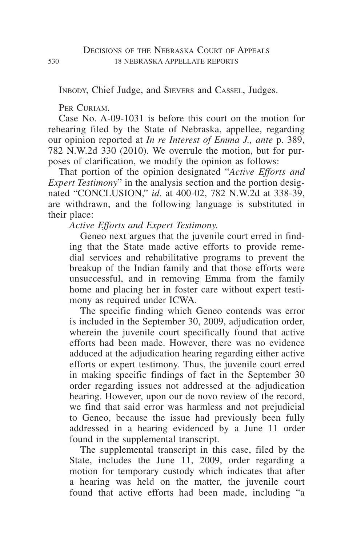Inbody, Chief Judge, and Sievers and Cassel, Judges.

PER CURIAM.

Case No. A-09-1031 is before this court on the motion for rehearing filed by the State of Nebraska, appellee, regarding our opinion reported at *In re Interest of Emma J., ante* p. 389, 782 N.W.2d 330 (2010). We overrule the motion, but for purposes of clarification, we modify the opinion as follows:

That portion of the opinion designated "*Active Efforts and Expert Testimony*" in the analysis section and the portion designated "conclusion," *id*. at 400-02, 782 N.W.2d at 338-39, are withdrawn, and the following language is substituted in their place:

*Active Efforts and Expert Testimony.*

Geneo next argues that the juvenile court erred in finding that the State made active efforts to provide remedial services and rehabilitative programs to prevent the breakup of the Indian family and that those efforts were unsuccessful, and in removing Emma from the family home and placing her in foster care without expert testimony as required under ICWA.

The specific finding which Geneo contends was error is included in the September 30, 2009, adjudication order, wherein the juvenile court specifically found that active efforts had been made. However, there was no evidence adduced at the adjudication hearing regarding either active efforts or expert testimony. Thus, the juvenile court erred in making specific findings of fact in the September 30 order regarding issues not addressed at the adjudication hearing. However, upon our de novo review of the record, we find that said error was harmless and not prejudicial to Geneo, because the issue had previously been fully addressed in a hearing evidenced by a June 11 order found in the supplemental transcript.

The supplemental transcript in this case, filed by the State, includes the June 11, 2009, order regarding a motion for temporary custody which indicates that after a hearing was held on the matter, the juvenile court found that active efforts had been made, including "a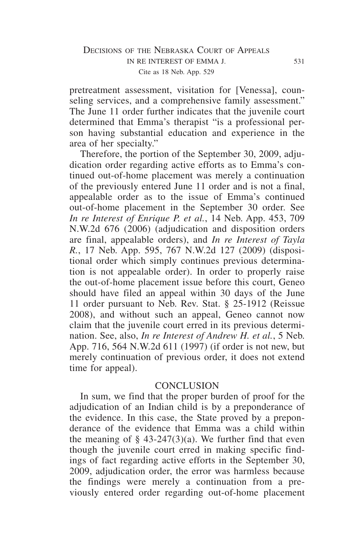pretreatment assessment, visitation for [Venessa], counseling services, and a comprehensive family assessment." The June 11 order further indicates that the juvenile court determined that Emma's therapist "is a professional person having substantial education and experience in the area of her specialty."

Therefore, the portion of the September 30, 2009, adjudication order regarding active efforts as to Emma's continued out-of-home placement was merely a continuation of the previously entered June 11 order and is not a final, appealable order as to the issue of Emma's continued out-of-home placement in the September 30 order. See *In re Interest of Enrique P. et al.*, 14 Neb. App. 453, 709 N.W.2d 676 (2006) (adjudication and disposition orders are final, appealable orders), and *In re Interest of Tayla R.*, 17 Neb. App. 595, 767 N.W.2d 127 (2009) (dispositional order which simply continues previous determination is not appealable order). In order to properly raise the out-of-home placement issue before this court, Geneo should have filed an appeal within 30 days of the June 11 order pursuant to Neb. Rev. Stat. § 25-1912 (Reissue 2008), and without such an appeal, Geneo cannot now claim that the juvenile court erred in its previous determination. See, also, *In re Interest of Andrew H. et al.*, 5 Neb. App. 716, 564 N.W.2d 611 (1997) (if order is not new, but merely continuation of previous order, it does not extend time for appeal).

## **CONCLUSION**

In sum, we find that the proper burden of proof for the adjudication of an Indian child is by a preponderance of the evidence. In this case, the State proved by a preponderance of the evidence that Emma was a child within the meaning of  $\S$  43-247(3)(a). We further find that even though the juvenile court erred in making specific findings of fact regarding active efforts in the September 30, 2009, adjudication order, the error was harmless because the findings were merely a continuation from a previously entered order regarding out-of-home placement